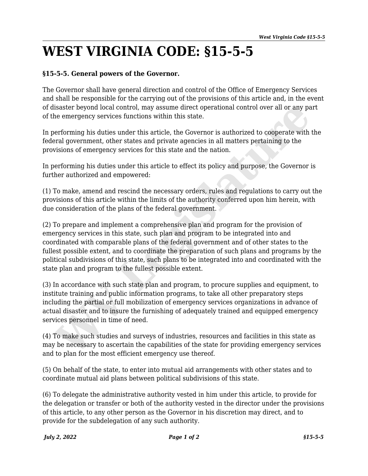## **WEST VIRGINIA CODE: §15-5-5**

## **§15-5-5. General powers of the Governor.**

The Governor shall have general direction and control of the Office of Emergency Services and shall be responsible for the carrying out of the provisions of this article and, in the event of disaster beyond local control, may assume direct operational control over all or any part of the emergency services functions within this state.

In performing his duties under this article, the Governor is authorized to cooperate with the federal government, other states and private agencies in all matters pertaining to the provisions of emergency services for this state and the nation.

In performing his duties under this article to effect its policy and purpose, the Governor is further authorized and empowered:

(1) To make, amend and rescind the necessary orders, rules and regulations to carry out the provisions of this article within the limits of the authority conferred upon him herein, with due consideration of the plans of the federal government.

(2) To prepare and implement a comprehensive plan and program for the provision of emergency services in this state, such plan and program to be integrated into and coordinated with comparable plans of the federal government and of other states to the fullest possible extent, and to coordinate the preparation of such plans and programs by the political subdivisions of this state, such plans to be integrated into and coordinated with the state plan and program to the fullest possible extent. lisaster beyond local control, may assume direct operational control over all or any pa<br>e emergency services functions within this state.<br>Performing his duties under this article, the Governor is authorized to cooperate wi

(3) In accordance with such state plan and program, to procure supplies and equipment, to institute training and public information programs, to take all other preparatory steps including the partial or full mobilization of emergency services organizations in advance of actual disaster and to insure the furnishing of adequately trained and equipped emergency services personnel in time of need.

(4) To make such studies and surveys of industries, resources and facilities in this state as may be necessary to ascertain the capabilities of the state for providing emergency services and to plan for the most efficient emergency use thereof.

(5) On behalf of the state, to enter into mutual aid arrangements with other states and to coordinate mutual aid plans between political subdivisions of this state.

(6) To delegate the administrative authority vested in him under this article, to provide for the delegation or transfer or both of the authority vested in the director under the provisions of this article, to any other person as the Governor in his discretion may direct, and to provide for the subdelegation of any such authority.